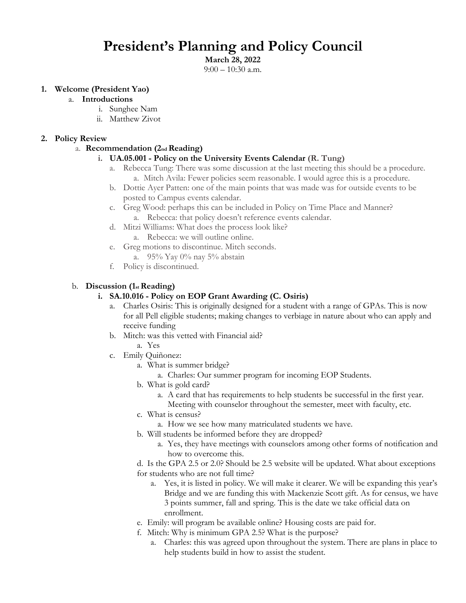## **President's Planning and Policy Council**

**March 28, 2022**

 $9:00 - 10:30$  a.m.

#### **1. Welcome (President Yao)**

- a. **Introductions**
	- i. Sunghee Nam
	- ii. Matthew Zivot

#### **2. Policy Review**

#### a. **Recommendation (2nd Reading)**

#### **i. UA.05.001 - Policy on the University Events Calendar (R. Tung)**

- a. Rebecca Tung: There was some discussion at the last meeting this should be a procedure. a. Mitch Avila: Fewer policies seem reasonable. I would agree this is a procedure.
- b. Dottie Ayer Patten: one of the main points that was made was for outside events to be posted to Campus events calendar.
- c. Greg Wood: perhaps this can be included in Policy on Time Place and Manner? a. Rebecca: that policy doesn't reference events calendar.
- d. Mitzi Williams: What does the process look like? a. Rebecca: we will outline online.
- e. Greg motions to discontinue. Mitch seconds.
	- a. 95% Yay 0% nay 5% abstain
- f. Policy is discontinued.

#### b. **Discussion (1st Reading)**

#### **i. SA.10.016 - Policy on EOP Grant Awarding (C. Osiris)**

- a. Charles Osiris: This is originally designed for a student with a range of GPAs. This is now for all Pell eligible students; making changes to verbiage in nature about who can apply and receive funding
- b. Mitch: was this vetted with Financial aid?
	- a. Yes
- c. Emily Quiñonez:
	- a. What is summer bridge?
		- a. Charles: Our summer program for incoming EOP Students.
	- b. What is gold card?
		- a. A card that has requirements to help students be successful in the first year. Meeting with counselor throughout the semester, meet with faculty, etc.
	- c. What is census?
	- a. How we see how many matriculated students we have.
	- b. Will students be informed before they are dropped?
		- a. Yes, they have meetings with counselors among other forms of notification and how to overcome this.

d. Is the GPA 2.5 or 2.0? Should be 2.5 website will be updated. What about exceptions for students who are not full time?

- a. Yes, it is listed in policy. We will make it clearer. We will be expanding this year's Bridge and we are funding this with Mackenzie Scott gift. As for census, we have 3 points summer, fall and spring. This is the date we take official data on enrollment.
- e. Emily: will program be available online? Housing costs are paid for.
- f. Mitch: Why is minimum GPA 2.5? What is the purpose?
	- a. Charles: this was agreed upon throughout the system. There are plans in place to help students build in how to assist the student.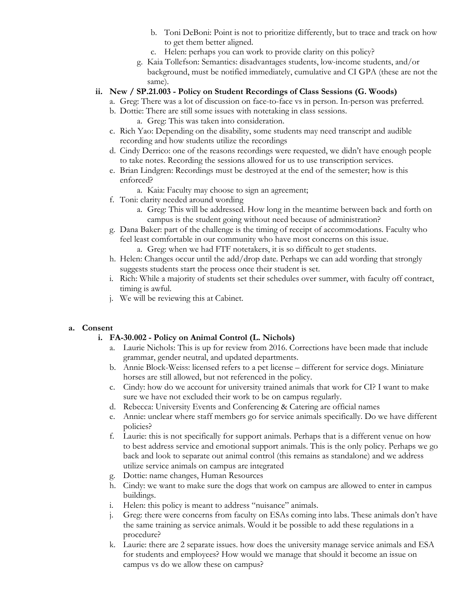- b. Toni DeBoni: Point is not to prioritize differently, but to trace and track on how to get them better aligned.
- c. Helen: perhaps you can work to provide clarity on this policy?
- g. Kaia Tollefson: Semantics: disadvantages students, low-income students, and/or background, must be notified immediately, cumulative and CI GPA (these are not the same).
- **ii. New / SP.21.003 - Policy on Student Recordings of Class Sessions (G. Woods)** 
	- a. Greg: There was a lot of discussion on face-to-face vs in person. In-person was preferred.
	- b. Dottie: There are still some issues with notetaking in class sessions. a. Greg: This was taken into consideration.
	- c. Rich Yao: Depending on the disability, some students may need transcript and audible recording and how students utilize the recordings
	- d. Cindy Derrico: one of the reasons recordings were requested, we didn't have enough people to take notes. Recording the sessions allowed for us to use transcription services.
	- e. Brian Lindgren: Recordings must be destroyed at the end of the semester; how is this enforced?
		- a. Kaia: Faculty may choose to sign an agreement;
	- f. Toni: clarity needed around wording
		- a. Greg: This will be addressed. How long in the meantime between back and forth on campus is the student going without need because of administration?
	- g. Dana Baker: part of the challenge is the timing of receipt of accommodations. Faculty who feel least comfortable in our community who have most concerns on this issue. a. Greg: when we had FTF notetakers, it is so difficult to get students.
	- h. Helen: Changes occur until the add/drop date. Perhaps we can add wording that strongly suggests students start the process once their student is set.
	- i. Rich: While a majority of students set their schedules over summer, with faculty off contract, timing is awful.
	- j. We will be reviewing this at Cabinet.

#### **a. Consent**

#### **i. FA-30.002 - Policy on Animal Control (L. Nichols)**

- a. Laurie Nichols: This is up for review from 2016. Corrections have been made that include grammar, gender neutral, and updated departments.
- b. Annie Block-Weiss: licensed refers to a pet license different for service dogs. Miniature horses are still allowed, but not referenced in the policy.
- c. Cindy: how do we account for university trained animals that work for CI? I want to make sure we have not excluded their work to be on campus regularly.
- d. Rebecca: University Events and Conferencing & Catering are official names
- e. Annie: unclear where staff members go for service animals specifically. Do we have different policies?
- f. Laurie: this is not specifically for support animals. Perhaps that is a different venue on how to best address service and emotional support animals. This is the only policy. Perhaps we go back and look to separate out animal control (this remains as standalone) and we address utilize service animals on campus are integrated
- g. Dottie: name changes, Human Resources
- h. Cindy: we want to make sure the dogs that work on campus are allowed to enter in campus buildings.
- i. Helen: this policy is meant to address "nuisance" animals.
- j. Greg: there were concerns from faculty on ESAs coming into labs. These animals don't have the same training as service animals. Would it be possible to add these regulations in a procedure?
- k. Laurie: there are 2 separate issues. how does the university manage service animals and ESA for students and employees? How would we manage that should it become an issue on campus vs do we allow these on campus?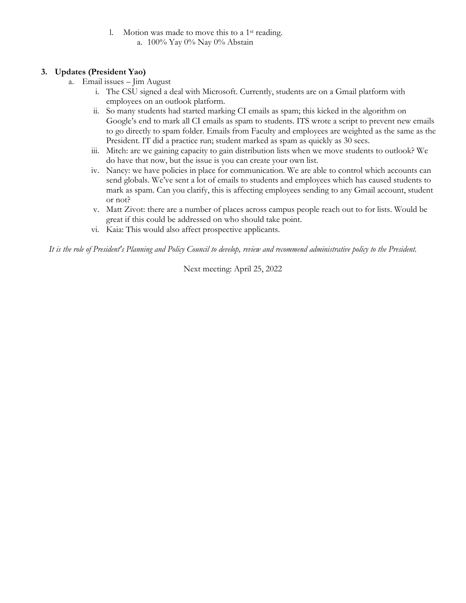### l. Motion was made to move this to a 1st reading.

a. 100% Yay 0% Nay 0% Abstain

#### **3. Updates (President Yao)**

- a. Email issues Jim August
	- i. The CSU signed a deal with Microsoft. Currently, students are on a Gmail platform with employees on an outlook platform.
	- ii. So many students had started marking CI emails as spam; this kicked in the algorithm on Google's end to mark all CI emails as spam to students. ITS wrote a script to prevent new emails to go directly to spam folder. Emails from Faculty and employees are weighted as the same as the President. IT did a practice run; student marked as spam as quickly as 30 secs.
	- iii. Mitch: are we gaining capacity to gain distribution lists when we move students to outlook? We do have that now, but the issue is you can create your own list.
	- iv. Nancy: we have policies in place for communication. We are able to control which accounts can send globals. We've sent a lot of emails to students and employees which has caused students to mark as spam. Can you clarify, this is affecting employees sending to any Gmail account, student or not?
	- v. Matt Zivot: there are a number of places across campus people reach out to for lists. Would be great if this could be addressed on who should take point.
	- vi. Kaia: This would also affect prospective applicants.

*It is the role of President's Planning and Policy Council to develop, review and recommend administrative policy to the President.*

Next meeting: April 25, 2022